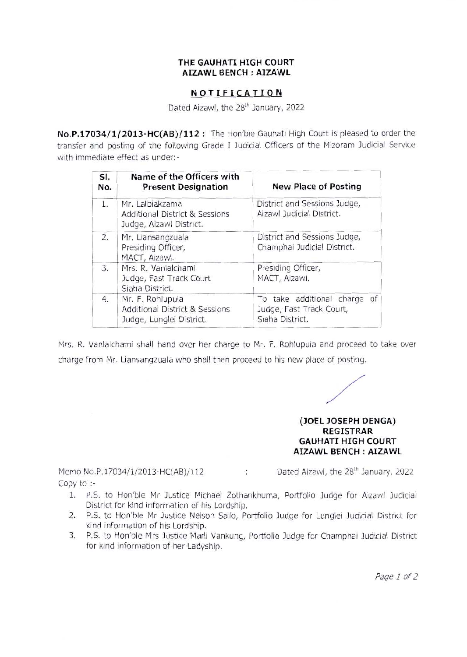## **THE GAUHATI HIGH COURT AIZAWL BENCH : AIZAWL**

## **NOTIFICATION**

Dated Aizawl, the 28<sup>th</sup> January, 2022

**No.P.17034/1/2013-HC{AB)/112:** The Hon'ble Gauhati High Court is pleased to order the transfer and posting of the following Grade I Judicial Officers of the M1zoram Judicial Service with immediate effect as under:-

| SI.<br>No. | Name of the Officers with<br><b>Present Designation</b>                                   | <b>New Place of Posting</b>                                                 |
|------------|-------------------------------------------------------------------------------------------|-----------------------------------------------------------------------------|
| 1.         | Mr. Lalbiakzama<br><b>Additional District &amp; Sessions</b><br>Judge, Aizawl District.   | District and Sessions Judge,<br>Aizawl Judicial District.                   |
| 2.         | Mr. Liansangzuala<br>Presiding Officer,<br>MACT, Aizawl.                                  | District and Sessions Judge,<br>Champhai Judicial District.                 |
| 3.         | Mrs. R. Vanlalchami<br>Judge, Fast Track Court<br>Siaha District.                         | Presiding Officer,<br>MACT, Aizawl.                                         |
| 4.         | Mr. F. Rohlupuia<br><b>Additional District &amp; Sessions</b><br>Judge, Lunglei District. | To take additional charge of<br>Judge, Fast Track Court,<br>Siaha District. |

Mrs. R. Vanlalchami shall hand over her charge to Mr. F. Rohlupuia and proceed to take over charge from Mr. Liansangzuala who shall then proceed to his new place of posting.

posting.

**(JOEL JOSEPH DENGA) REGISTRAR GAUHATI HIGH COURT AIZAWL BENCH : AIZAWL** 

CITIO IVO.F.<br>Smiths

 $\sum_{n=1}^{\infty}$  No. P.17034/1/2012 HC(AB)/112  $\sum_{n=1}^{\infty}$  Dated Aizawl, the 28<sup>th</sup> January, 2022

- 1. P.S. to Hon'ble Mr Justice Michael Zothankhuma, Portfolio Judge for Aizawl Judicial District for kind information of his Lordship.
	- 2. P.S. to Hon'ble Mr Justice Nelson Sailo, Portfolio Judge for Lunglei Judicial District for kind information of his Lordship. 3. P.S. to Hon'ble Mrs Justice Marli Vankung, Portfolio Judge for Champhai Judicial District
	- for kind information of her Ladyship.

*Page 1of2*